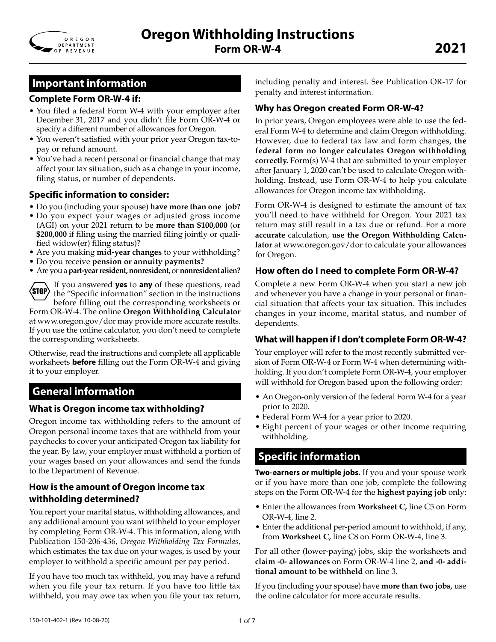

## **Important information**

### **Complete Form OR-W-4 if:**

- You filed a federal Form W-4 with your employer after December 31, 2017 and you didn't file Form OR-W-4 or specify a different number of allowances for Oregon.
- You weren't satisfied with your prior year Oregon tax-topay or refund amount.
- You've had a recent personal or financial change that may affect your tax situation, such as a change in your income, filing status, or number of dependents.

### **Specific information to consider:**

- Do you (including your spouse) **have more than one job?**
- Do you expect your wages or adjusted gross income (AGI) on your 2021 return to be **more than \$100,000** (or **\$200,000** if filing using the married filing jointly or qualified widow(er) filing status)?
- Are you making **mid-year changes** to your withholding?
- Do you receive **pension or annuity payments?**
- Are you a **part-year resident, nonresident,** or **nonresident alien?**



If you answered **yes** to **any** of these questions, read the "Specific information" section in the instructions before filling out the corresponding worksheets or

Form OR-W-4. The online **Oregon Withholding Calculator** at www.oregon.gov/dor may provide more accurate results. If you use the online calculator, you don't need to complete the corresponding worksheets.

Otherwise, read the instructions and complete all applicable worksheets **before** filling out the Form OR-W-4 and giving it to your employer.

## **General information**

### **What is Oregon income tax withholding?**

Oregon income tax withholding refers to the amount of Oregon personal income taxes that are withheld from your paychecks to cover your anticipated Oregon tax liability for the year. By law, your employer must withhold a portion of your wages based on your allowances and send the funds to the Department of Revenue.

### **How is the amount of Oregon income tax withholding determined?**

You report your marital status, withholding allowances, and any additional amount you want withheld to your employer by completing Form OR-W-4. This information, along with Publication 150-206-436, *Oregon Withholding Tax Formulas,* which estimates the tax due on your wages, is used by your employer to withhold a specific amount per pay period.

If you have too much tax withheld, you may have a refund when you file your tax return. If you have too little tax withheld, you may owe tax when you file your tax return, including penalty and interest. See Publication OR-17 for penalty and interest information.

### **Why has Oregon created Form OR-W-4?**

In prior years, Oregon employees were able to use the federal Form W-4 to determine and claim Oregon withholding. However, due to federal tax law and form changes, **the federal form no longer calculates Oregon withholding correctly.** Form(s) W-4 that are submitted to your employer after January 1, 2020 can't be used to calculate Oregon withholding. Instead, use Form OR-W-4 to help you calculate allowances for Oregon income tax withholding.

Form OR-W-4 is designed to estimate the amount of tax you'll need to have withheld for Oregon. Your 2021 tax return may still result in a tax due or refund. For a more **accurate** calculation, **use the Oregon Withholding Calculator** at www.oregon.gov/dor to calculate your allowances for Oregon.

### **How often do I need to complete Form OR-W-4?**

Complete a new Form OR-W-4 when you start a new job and whenever you have a change in your personal or financial situation that affects your tax situation. This includes changes in your income, marital status, and number of dependents.

### **What will happen if I don't complete Form OR-W-4?**

Your employer will refer to the most recently submitted version of Form OR-W-4 or Form W-4 when determining withholding. If you don't complete Form OR-W-4, your employer will withhold for Oregon based upon the following order:

- An Oregon-only version of the federal Form W-4 for a year prior to 2020.
- Federal Form W-4 for a year prior to 2020.
- Eight percent of your wages or other income requiring withholding.

# **Specific information**

**Two-earners or multiple jobs.** If you and your spouse work or if you have more than one job, complete the following steps on the Form OR-W-4 for the **highest paying job** only:

- Enter the allowances from **Worksheet C,** line C5 on Form OR-W-4, line 2.
- Enter the additional per-period amount to withhold, if any, from **Worksheet C,** line C8 on Form OR-W-4, line 3.

For all other (lower-paying) jobs, skip the worksheets and **claim -0- allowances** on Form OR-W-4 line 2, **and -0- additional amount to be withheld** on line 3.

If you (including your spouse) have **more than two jobs,** use the online calculator for more accurate results.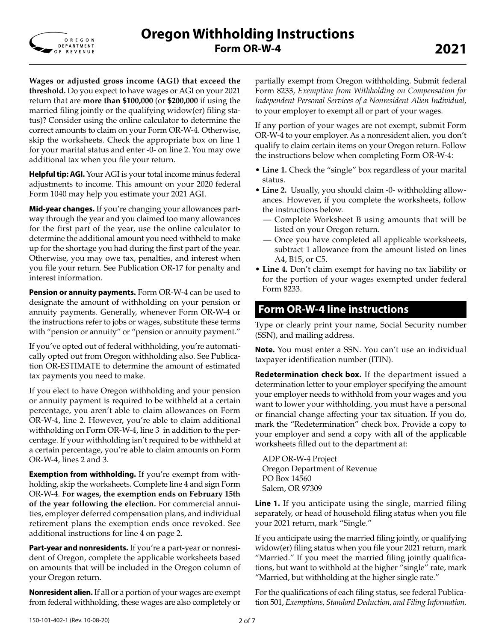

**Wages or adjusted gross income (AGI) that exceed the threshold.** Do you expect to have wages or AGI on your 2021 return that are **more than \$100,000** (or **\$200,000** if using the married filing jointly or the qualifying widow(er) filing status)? Consider using the online calculator to determine the correct amounts to claim on your Form OR-W-4. Otherwise, skip the worksheets. Check the appropriate box on line 1 for your marital status and enter -0- on line 2. You may owe additional tax when you file your return.

**Helpful tip: AGI.** Your AGI is your total income minus federal adjustments to income. This amount on your 2020 federal Form 1040 may help you estimate your 2021 AGI.

**Mid-year changes.** If you're changing your allowances partway through the year and you claimed too many allowances for the first part of the year, use the online calculator to determine the additional amount you need withheld to make up for the shortage you had during the first part of the year. Otherwise, you may owe tax, penalties, and interest when you file your return. See Publication OR-17 for penalty and interest information.

**Pension or annuity payments.** Form OR-W-4 can be used to designate the amount of withholding on your pension or annuity payments. Generally, whenever Form OR-W-4 or the instructions refer to jobs or wages, substitute these terms with "pension or annuity" or "pension or annuity payment."

If you've opted out of federal withholding, you're automatically opted out from Oregon withholding also. See Publication OR-ESTIMATE to determine the amount of estimated tax payments you need to make.

If you elect to have Oregon withholding and your pension or annuity payment is required to be withheld at a certain percentage, you aren't able to claim allowances on Form OR-W-4, line 2. However, you're able to claim additional withholding on Form OR-W-4, line 3 in addition to the percentage. If your withholding isn't required to be withheld at a certain percentage, you're able to claim amounts on Form OR-W-4, lines 2 and 3.

**Exemption from withholding.** If you're exempt from withholding, skip the worksheets. Complete line 4 and sign Form OR-W-4. **For wages, the exemption ends on February 15th of the year following the election.** For commercial annuities, employer deferred compensation plans, and individual retirement plans the exemption ends once revoked. See additional instructions for line 4 on page 2.

**Part-year and nonresidents.** If you're a part-year or nonresident of Oregon, complete the applicable worksheets based on amounts that will be included in the Oregon column of your Oregon return.

**Nonresident alien.** If all or a portion of your wages are exempt from federal withholding, these wages are also completely or partially exempt from Oregon withholding. Submit federal Form 8233, *Exemption from Withholding on Compensation for Independent Personal Services of a Nonresident Alien Individual,* to your employer to exempt all or part of your wages.

If any portion of your wages are not exempt, submit Form OR-W-4 to your employer. As a nonresident alien, you don't qualify to claim certain items on your Oregon return. Follow the instructions below when completing Form OR-W-4:

- **Line 1.** Check the "single" box regardless of your marital status.
- **Line 2.** Usually, you should claim -0- withholding allowances. However, if you complete the worksheets, follow the instructions below.
	- Complete Worksheet B using amounts that will be listed on your Oregon return.
	- Once you have completed all applicable worksheets, subtract 1 allowance from the amount listed on lines A4, B15, or C5.
- **Line 4.** Don't claim exempt for having no tax liability or for the portion of your wages exempted under federal Form 8233.

# **Form OR-W-4 line instructions**

Type or clearly print your name, Social Security number (SSN), and mailing address.

**Note.** You must enter a SSN. You can't use an individual taxpayer identification number (ITIN).

**Redetermination check box.** If the department issued a determination letter to your employer specifying the amount your employer needs to withhold from your wages and you want to lower your withholding, you must have a personal or financial change affecting your tax situation. If you do, mark the "Redetermination" check box. Provide a copy to your employer and send a copy with **all** of the applicable worksheets filled out to the department at:

ADP OR-W-4 Project Oregon Department of Revenue PO Box 14560 Salem, OR 97309

**Line 1.** If you anticipate using the single, married filing separately, or head of household filing status when you file your 2021 return, mark "Single."

If you anticipate using the married filing jointly, or qualifying widow(er) filing status when you file your 2021 return, mark "Married." If you meet the married filing jointly qualifications, but want to withhold at the higher "single" rate, mark "Married, but withholding at the higher single rate."

For the qualifications of each filing status, see federal Publication 501, *Exemptions, Standard Deduction, and Filing Information.*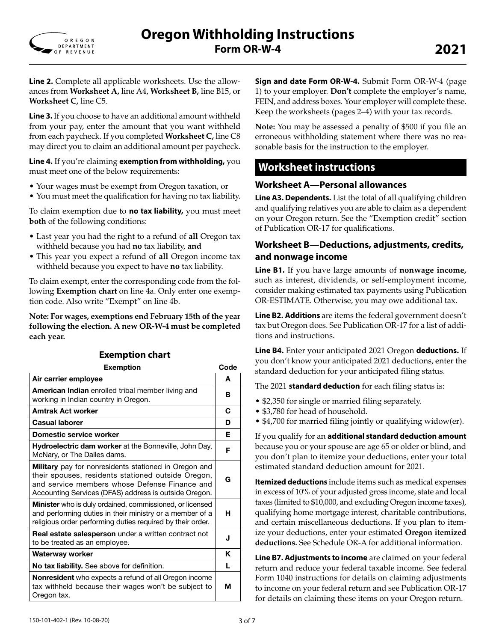

**Line 2.** Complete all applicable worksheets. Use the allowances from **Worksheet A,** line A4, **Worksheet B,** line B15, or **Worksheet C,** line C5.

**Line 3.** If you choose to have an additional amount withheld from your pay, enter the amount that you want withheld from each paycheck. If you completed **Worksheet C,** line C8 may direct you to claim an additional amount per paycheck.

**Line 4.** If you're claiming **exemption from withholding,** you must meet one of the below requirements:

- Your wages must be exempt from Oregon taxation, or
- You must meet the qualification for having no tax liability.

To claim exemption due to **no tax liability,** you must meet **both** of the following conditions:

- Last year you had the right to a refund of **all** Oregon tax withheld because you had **no** tax liability, **and**
- This year you expect a refund of **all** Oregon income tax withheld because you expect to have **no** tax liability.

To claim exempt, enter the corresponding code from the following **Exemption chart** on line 4a. Only enter one exemption code. Also write "Exempt" on line 4b.

**Note: For wages, exemptions end February 15th of the year following the election. A new OR-W-4 must be completed each year.**

| <b>Exemption</b>                                                                                                                                                                                                      | Code |
|-----------------------------------------------------------------------------------------------------------------------------------------------------------------------------------------------------------------------|------|
| Air carrier employee                                                                                                                                                                                                  | A    |
| American Indian enrolled tribal member living and<br>working in Indian country in Oregon.                                                                                                                             | в    |
| <b>Amtrak Act worker</b>                                                                                                                                                                                              | C    |
| <b>Casual laborer</b>                                                                                                                                                                                                 | D    |
| Domestic service worker                                                                                                                                                                                               | Е    |
| Hydroelectric dam worker at the Bonneville, John Day,<br>McNary, or The Dalles dams.                                                                                                                                  | F    |
| Military pay for nonresidents stationed in Oregon and<br>their spouses, residents stationed outside Oregon,<br>and service members whose Defense Finance and<br>Accounting Services (DFAS) address is outside Oregon. | G    |
| <b>Minister</b> who is duly ordained, commissioned, or licensed<br>and performing duties in their ministry or a member of a<br>religious order performing duties required by their order.                             | н    |
| <b>Real estate salesperson</b> under a written contract not<br>to be treated as an employee.                                                                                                                          | J    |
| Waterway worker                                                                                                                                                                                                       | ĸ    |
| <b>No tax liability.</b> See above for definition.                                                                                                                                                                    | L    |
| <b>Nonresident</b> who expects a refund of all Oregon income<br>tax withheld because their wages won't be subject to<br>Oregon tax.                                                                                   | м    |

### **Exemption chart**

**Sign and date Form OR-W-4.** Submit Form OR-W-4 (page 1) to your employer. **Don't** complete the employer's name, FEIN, and address boxes. Your employer will complete these. Keep the worksheets (pages 2–4) with your tax records.

**Note:** You may be assessed a penalty of \$500 if you file an erroneous withholding statement where there was no reasonable basis for the instruction to the employer.

## **Worksheet instructions**

### **Worksheet A—Personal allowances**

**Line A3. Dependents.** List the total of all qualifying children and qualifying relatives you are able to claim as a dependent on your Oregon return. See the "Exemption credit" section of Publication OR-17 for qualifications.

### **Worksheet B—Deductions, adjustments, credits, and nonwage income**

**Line B1.** If you have large amounts of **nonwage income,** such as interest, dividends, or self-employment income, consider making estimated tax payments using Publication OR-ESTIMATE. Otherwise, you may owe additional tax.

**Line B2. Additions** are items the federal government doesn't tax but Oregon does. See Publication OR-17 for a list of additions and instructions.

**Line B4.** Enter your anticipated 2021 Oregon **deductions.** If you don't know your anticipated 2021 deductions, enter the standard deduction for your anticipated filing status.

The 2021 **standard deduction** for each filing status is:

- \$2,350 for single or married filing separately.
- \$3,780 for head of household.
- \$4,700 for married filing jointly or qualifying widow(er).

If you qualify for an **additional standard deduction amount** because you or your spouse are age 65 or older or blind, and you don't plan to itemize your deductions, enter your total estimated standard deduction amount for 2021.

**Itemized deductions** include items such as medical expenses in excess of 10% of your adjusted gross income, state and local taxes (limited to \$10,000, and excluding Oregon income taxes), qualifying home mortgage interest, charitable contributions, and certain miscellaneous deductions. If you plan to itemize your deductions, enter your estimated **Oregon itemized deductions.** See Schedule OR-A for additional information.

**Line B7. Adjustments to income** are claimed on your federal return and reduce your federal taxable income. See federal Form 1040 instructions for details on claiming adjustments to income on your federal return and see Publication OR-17 for details on claiming these items on your Oregon return.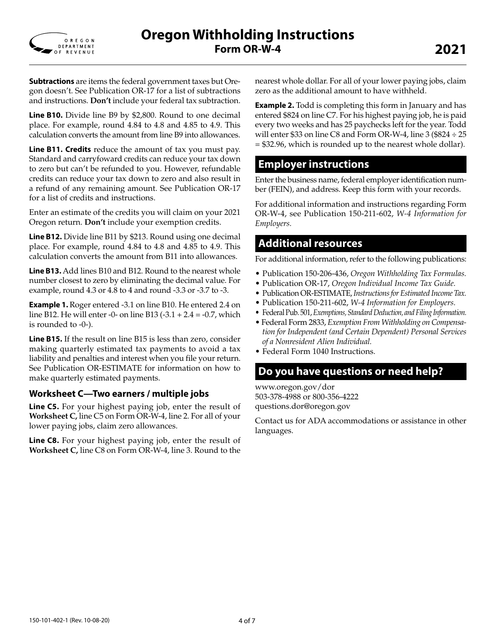

**Subtractions** are items the federal government taxes but Oregon doesn't. See Publication OR-17 for a list of subtractions and instructions. **Don't** include your federal tax subtraction.

**Line B10.** Divide line B9 by \$2,800. Round to one decimal place. For example, round 4.84 to 4.8 and 4.85 to 4.9. This calculation converts the amount from line B9 into allowances.

**Line B11. Credits** reduce the amount of tax you must pay. Standard and carryfoward credits can reduce your tax down to zero but can't be refunded to you. However, refundable credits can reduce your tax down to zero and also result in a refund of any remaining amount. See Publication OR-17 for a list of credits and instructions.

Enter an estimate of the credits you will claim on your 2021 Oregon return. **Don't** include your exemption credits.

**Line B12.** Divide line B11 by \$213. Round using one decimal place. For example, round 4.84 to 4.8 and 4.85 to 4.9. This calculation converts the amount from B11 into allowances.

**Line B13.** Add lines B10 and B12. Round to the nearest whole number closest to zero by eliminating the decimal value. For example, round 4.3 or 4.8 to 4 and round -3.3 or -3.7 to -3.

**Example 1.** Roger entered -3.1 on line B10. He entered 2.4 on line B12. He will enter -0- on line B13  $(-3.1 + 2.4 = -0.7)$ , which is rounded to -0-).

**Line B15.** If the result on line B15 is less than zero, consider making quarterly estimated tax payments to avoid a tax liability and penalties and interest when you file your return. See Publication OR-ESTIMATE for information on how to make quarterly estimated payments.

### **Worksheet C—Two earners / multiple jobs**

**Line C5.** For your highest paying job, enter the result of **Worksheet C,** line C5 on Form OR-W-4, line 2. For all of your lower paying jobs, claim zero allowances.

**Line C8.** For your highest paying job, enter the result of **Worksheet C,** line C8 on Form OR-W-4, line 3. Round to the nearest whole dollar. For all of your lower paying jobs, claim zero as the additional amount to have withheld.

**Example 2.** Todd is completing this form in January and has entered \$824 on line C7. For his highest paying job, he is paid every two weeks and has 25 paychecks left for the year. Todd will enter \$33 on line C8 and Form OR-W-4, line 3 (\$824  $\div$  25 = \$32.96, which is rounded up to the nearest whole dollar).

### **Employer instructions**

Enter the business name, federal employer identification number (FEIN), and address. Keep this form with your records.

For additional information and instructions regarding Form OR-W-4, see Publication 150-211-602, *W-4 Information for Employers.*

### **Additional resources**

For additional information, refer to the following publications:

- Publication 150-206-436, *Oregon Withholding Tax Formulas.*
- Publication OR-17, *Oregon Individual Income Tax Guide.*
- Publication OR-ESTIMATE, *Instructions for Estimated Income Tax.*
- Publication 150-211-602, *W-4 Information for Employers.*
- Federal Pub. 501, *Exemptions, Standard Deduction, and Filing Information.*
- Federal Form 2833, *Exemption From Withholding on Compensation for Independent (and Certain Dependent) Personal Services of a Nonresident Alien Individual.*
- Federal Form 1040 Instructions.

### **Do you have questions or need help?**

www.oregon.gov/dor 503-378-4988 or 800-356-4222 questions.dor@oregon.gov

Contact us for ADA accommodations or assistance in other languages.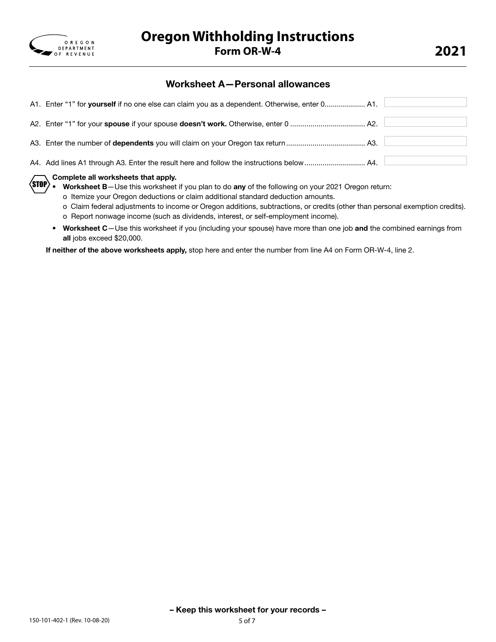

### Worksheet A—Personal allowances

|                                           | A1. Enter "1" for yourself if no one else can claim you as a dependent. Otherwise, enter 0 A1. |  |  |  |  |
|-------------------------------------------|------------------------------------------------------------------------------------------------|--|--|--|--|
|                                           |                                                                                                |  |  |  |  |
|                                           |                                                                                                |  |  |  |  |
|                                           |                                                                                                |  |  |  |  |
| $\Box$ Complete all werkeheets that apply |                                                                                                |  |  |  |  |

#### Complete all worksheets that apply.

Worksheet B-Use this worksheet if you plan to do any of the following on your 2021 Oregon return:  $\langle$ stop $\rangle$  ,  $^-$ 

o Itemize your Oregon deductions or claim additional standard deduction amounts.

- o Claim federal adjustments to income or Oregon additions, subtractions, or credits (other than personal exemption credits). o Report nonwage income (such as dividends, interest, or self-employment income).
- Worksheet C-Use this worksheet if you (including your spouse) have more than one job and the combined earnings from all jobs exceed \$20,000.

If neither of the above worksheets apply, stop here and enter the number from line A4 on Form OR-W-4, line 2.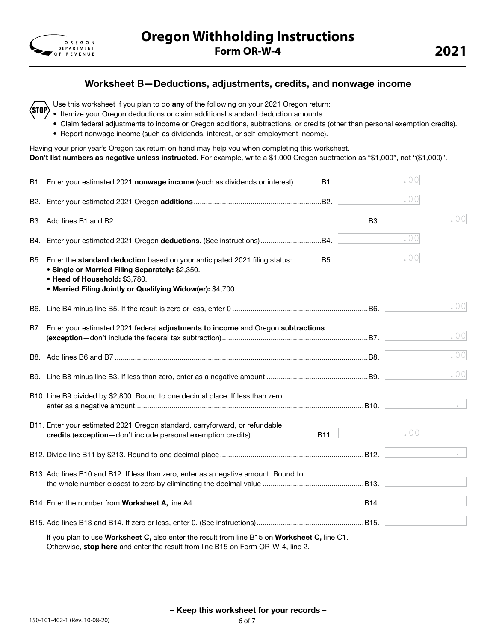

### Worksheet B—Deductions, adjustments, credits, and nonwage income

Use this worksheet if you plan to do any of the following on your 2021 Oregon return: STOP

- Itemize your Oregon deductions or claim additional standard deduction amounts.
- Claim federal adjustments to income or Oregon additions, subtractions, or credits (other than personal exemption credits).
- Report nonwage income (such as dividends, interest, or self-employment income).

Having your prior year's Oregon tax return on hand may help you when completing this worksheet. Don't list numbers as negative unless instructed. For example, write a \$1,000 Oregon subtraction as "\$1,000", not "(\$1,000)".

| B1. Enter your estimated 2021 nonwage income (such as dividends or interest) B1.                                                                                                                                                     | .00 |                         |
|--------------------------------------------------------------------------------------------------------------------------------------------------------------------------------------------------------------------------------------|-----|-------------------------|
|                                                                                                                                                                                                                                      | .00 |                         |
|                                                                                                                                                                                                                                      |     | .00                     |
| B4. Enter your estimated 2021 Oregon deductions. (See instructions)B4.                                                                                                                                                               | .00 |                         |
| B5. Enter the standard deduction based on your anticipated 2021 filing status: B5.<br>• Single or Married Filing Separately: \$2,350.<br>• Head of Household: \$3,780.<br>• Married Filing Jointly or Qualifying Widow(er): \$4,700. | .00 |                         |
|                                                                                                                                                                                                                                      |     | .00                     |
| B7. Enter your estimated 2021 federal adjustments to income and Oregon subtractions                                                                                                                                                  |     | . $00$                  |
|                                                                                                                                                                                                                                      |     | . $\bigcirc$ $\bigcirc$ |
|                                                                                                                                                                                                                                      |     | . $00$                  |
| B10. Line B9 divided by \$2,800. Round to one decimal place. If less than zero,                                                                                                                                                      |     |                         |
| B11. Enter your estimated 2021 Oregon standard, carryforward, or refundable                                                                                                                                                          | .00 |                         |
|                                                                                                                                                                                                                                      |     |                         |
| B13. Add lines B10 and B12. If less than zero, enter as a negative amount. Round to                                                                                                                                                  |     |                         |
|                                                                                                                                                                                                                                      |     |                         |
|                                                                                                                                                                                                                                      |     |                         |
| If you plan to use Worksheet C, also enter the result from line B15 on Worksheet C, line C1.                                                                                                                                         |     |                         |

Otherwise, **stop here** and enter the result from line B15 on Form OR-W-4, line 2.